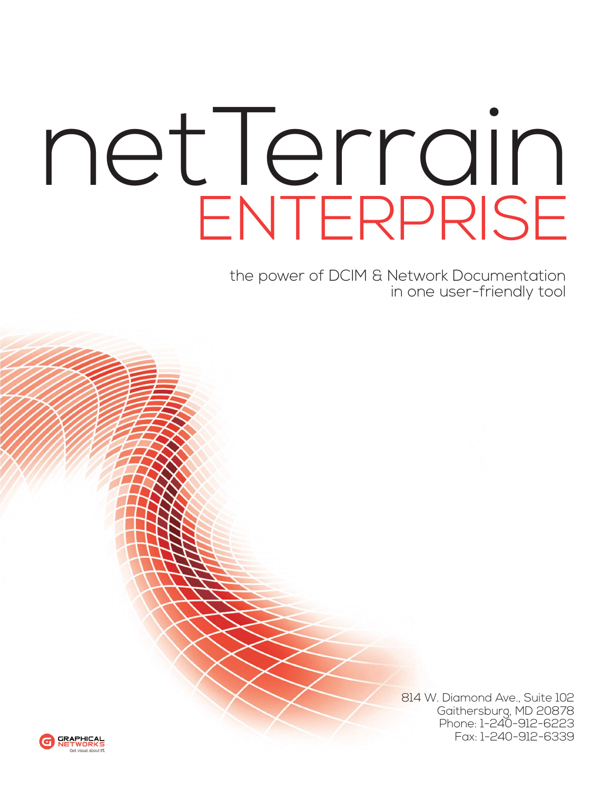## netTerrain ENTERPRISE

the power of DCIM & Network Documentation in one user-friendly tool



814 W. Diamond Ave., Suite 102 Gaithersburg, MD 20878 Phone: 1-240-912-6223 Fax: 1-240-912-6339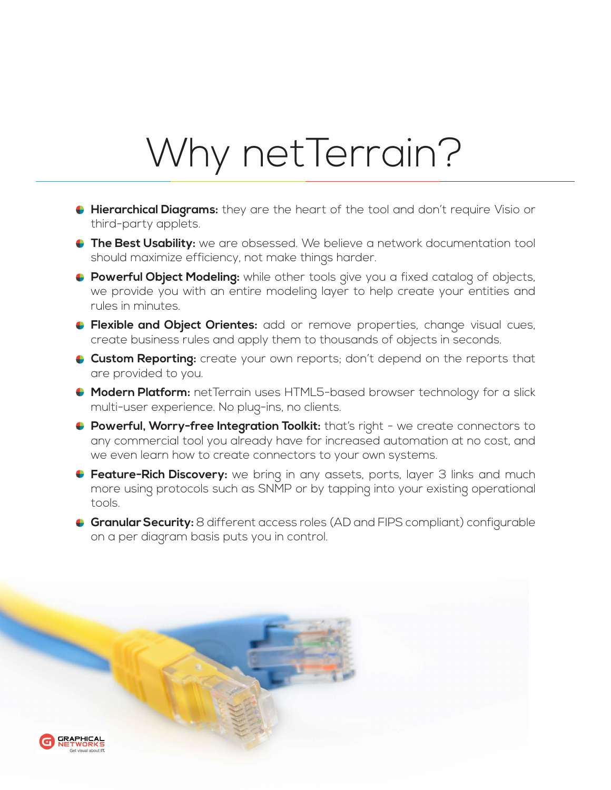## Why netTerrain?

- **Hierarchical Diagrams:** they are the heart of the tool and don't require Visio or third-party applets.
- **The Best Usability:** we are obsessed. We believe a network documentation tool should maximize efficiency, not make things harder.
- **Powerful Object Modeling:** while other tools give you a fixed catalog of objects, we provide you with an entire modeling layer to help create your entities and rules in minutes.
- **Flexible and Object Orientes:** add or remove properties, change visual cues, create business rules and apply them to thousands of objects in seconds.
- **Custom Reporting:** create your own reports; don't depend on the reports that are provided to you.
- **Modern Platform:** netTerrain uses HTML5-based browser technology for a slick multi-user experience. No plug-ins, no clients.
- **Powerful, Worry-free Integration Toolkit:** that's right we create connectors to any commercial tool you already have for increased automation at no cost, and we even learn how to create connectors to your own systems.
- **Feature-Rich Discovery:** we bring in any assets, ports, layer 3 links and much more using protocols such as SNMP or by tapping into your existing operational tools.
- **Granular Security:** 8 different access roles (AD and FIPS compliant) configurable on a per diagram basis puts you in control.

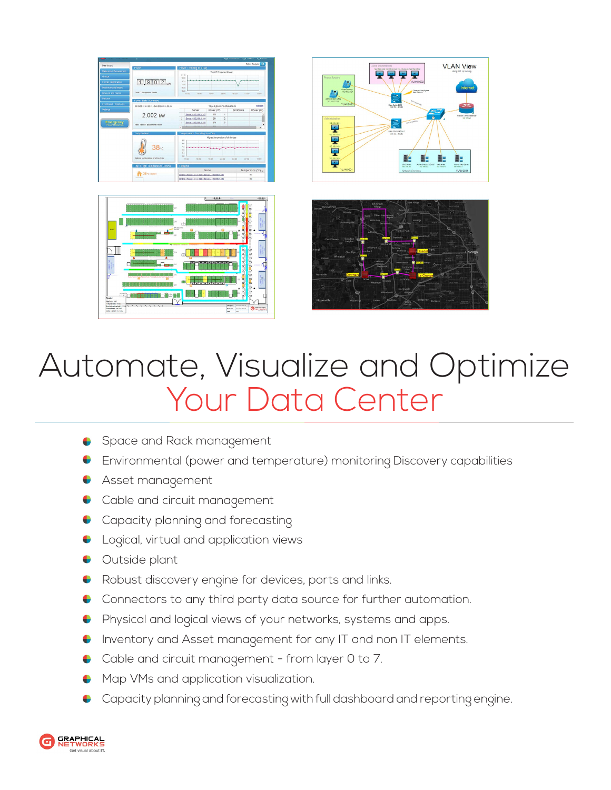

## Automate, Visualize and Optimize Your Data Center

- Space and Rack management
- Environmental (power and temperature) monitoring Discovery capabilities
- Asset management
- Cable and circuit management
- Capacity planning and forecasting
- Logical, virtual and application views
- Outside plant
- Robust discovery engine for devices, ports and links.
- Connectors to any third party data source for further automation.
- Physical and logical views of your networks, systems and apps.  $\bullet$
- Inventory and Asset management for any IT and non IT elements.
- Cable and circuit management from layer 0 to 7.
- Map VMs and application visualization.
- Capacity planning and forecasting with full dashboard and reporting engine.